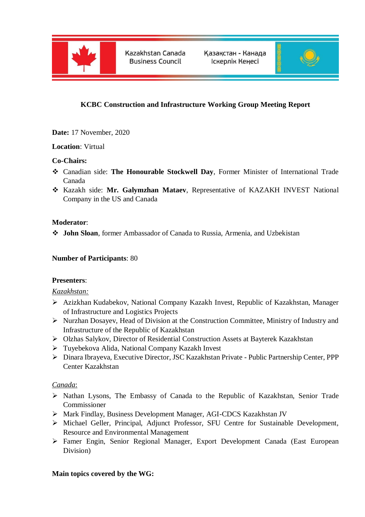

Kazakhstan Canada **Business Council** 

Қазақстан - Канада Іскерлік Кеңесі



# **KCBC Construction and Infrastructure Working Group Meeting Report**

**Date:** 17 November, 2020

## **Location**: Virtual

### **Co-Chairs:**

- Canadian side: **The Honourable Stockwell Day**, Former Minister of International Trade Canada
- Kazakh side: **Mr. Galymzhan Mataev**, Representative of KAZAKH INVEST National Company in the US and Canada

## **Moderator**:

**John Sloan**, former Ambassador of Canada to Russia, Armenia, and Uzbekistan

### **Number of Participants**: 80

### **Presenters**:

### *Kazakhstan:*

- Azizkhan Kudabekov, National Company Kazakh Invest, Republic of Kazakhstan, Manager of Infrastructure and Logistics Projects
- Nurzhan Dosayev, Head of Division at the Construction Committee, Ministry of Industry and Infrastructure of the Republic of Kazakhstan
- Olzhas Salykov, Director of Residential Construction Assets at Bayterek Kazakhstan
- Tuyebekova Alida, National Company Kazakh Invest
- Dinara Ibrayeva, Executive Director, JSC Kazakhstan Private Public Partnership Center, PPP Center Kazakhstan

### *Canada*:

- Nathan Lysons, The Embassy of Canada to the Republic of Kazakhstan, Senior Trade Commissioner
- Mark Findlay, Business Development Manager, AGI-CDCS Kazakhstan JV
- Michael Geller, Principal, Adjunct Professor, SFU Centre for Sustainable Development, Resource and Environmental Management
- Famer Engin, Senior Regional Manager, Export Development Canada (East European Division)

### **Main topics covered by the WG:**